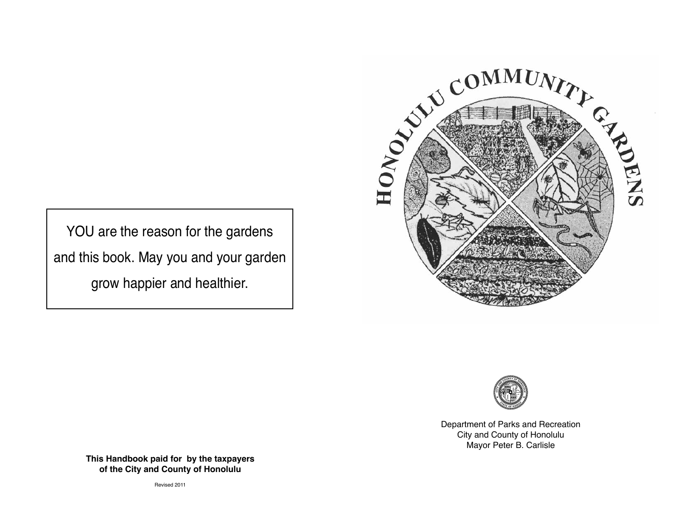



Department of Parks and Recreation City and County of Honolulu Mayor Peter B. Carlisle

YOU are the reason for the gardens and this book. May you and your garden grow happier and healthier.

> **This Handbook paid for by the taxpayers of the City and County of Honolulu**

> > Revised 2011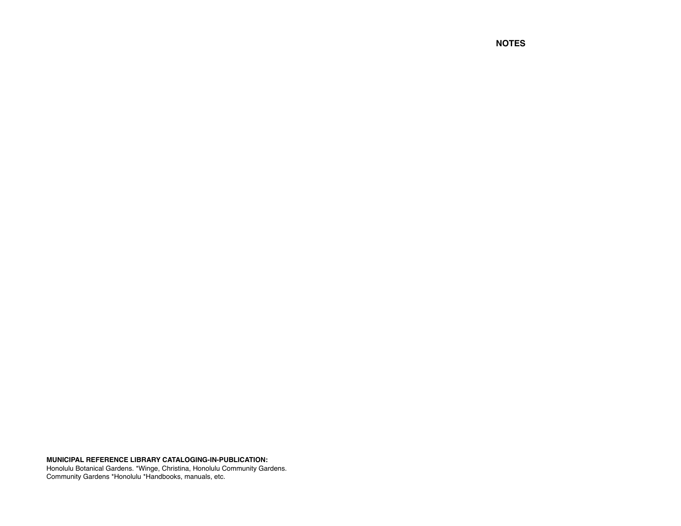**MUNICIPAL REFERENCE LIBRARY CATALOGING-IN-PUBLICATION:**

Honolulu Botanical Gardens. \*Winge, Christina, Honolulu Community Gardens. Community Gardens \*Honolulu \*Handbooks, manuals, etc.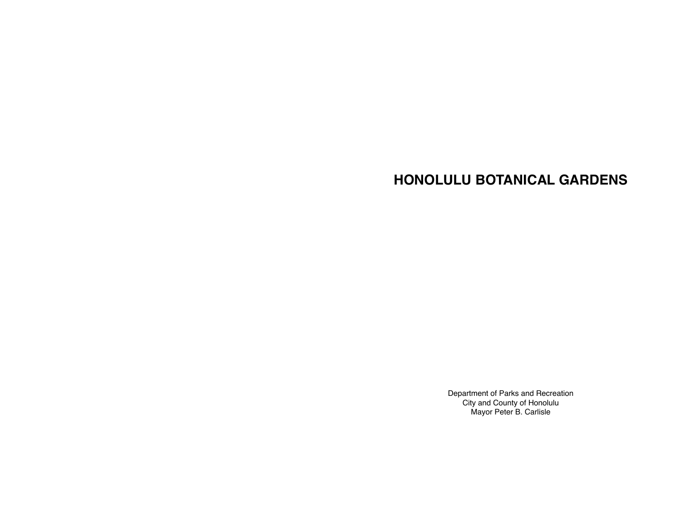# **HONOLULU BOTANICAL GARDENS**

Department of Parks and Recreation City and County of Honolulu Mayor Peter B. Carlisle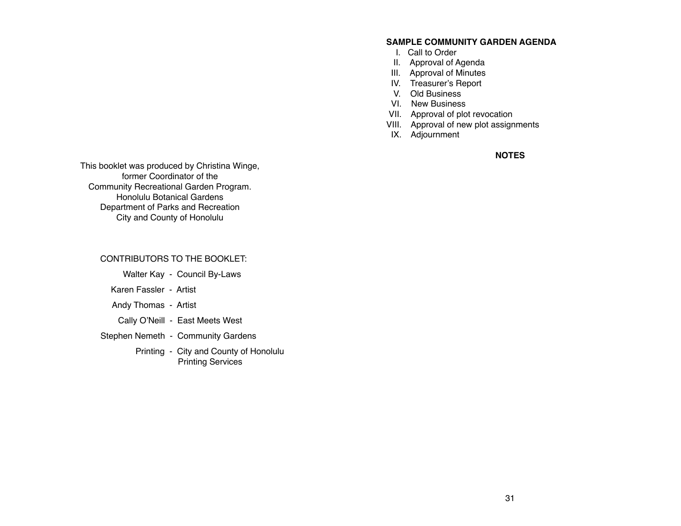### **SAMPLE COMMUNITY GARDEN AGENDA**

- I. Call to Order
- II. Approval of Agenda
- III. Approval of Minutes
- IV. Treasurer's Report
- V. Old Business
- VI. New Business
- VII. Approval of plot revocation
- VIII. Approval of new plot assignments
- IX. Adjournment

**NOTES**

This booklet was produced by Christina Winge, former Coordinator of the Community Recreational Garden Program. Honolulu Botanical Gardens Department of Parks and Recreation City and County of Honolulu

CONTRIBUTORS TO THE BOOKLET:

Walter Kay - Council By-Laws

Karen Fassler - Artist

Andy Thomas - Artist

Cally O'Neill - East Meets West

Stephen Nemeth - Community Gardens

 Printing - City and County of Honolulu Printing Services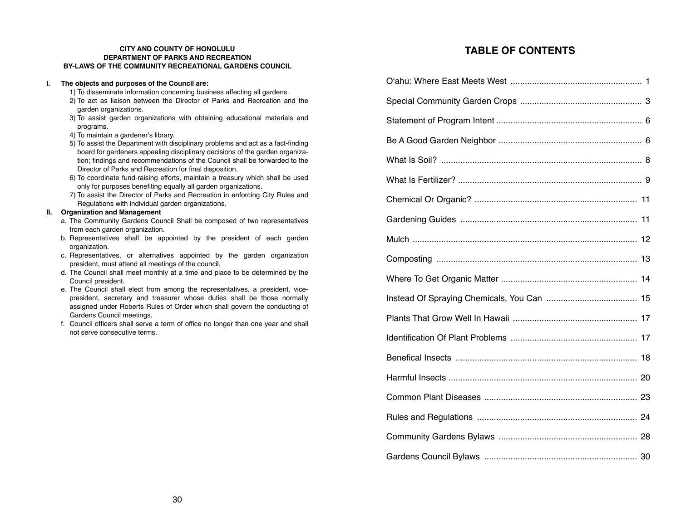### **CITY AND COUNTY OF HONOLULU DEPARTMENT OF PARKS AND RECREATION BY-LAWS OF THE COMMUNITY RECREATIONAL GARDENS COUNCIL**

### **I. The objects and purposes of the Council are:**

- 1) To disseminate information concerning business affecting all gardens.
- 2) To act as liaison between the Director of Parks and Recreation and the garden organizations.
- 3) To assist garden organizations with obtaining educational materials and programs.
- 4) To maintain a gardener's library.
- 5) To assist the Department with disciplinary problems and act as a fact-finding board for gardeners appealing disciplinary decisions of the garden organization; findings and recommendations of the Council shall be forwarded to the Director of Parks and Recreation for final disposition.
- 6) To coordinate fund-raising efforts, maintain a treasury which shall be used only for purposes benefiting equally all garden organizations.
- 7) To assist the Director of Parks and Recreation in enforcing City Rules and Regulations with individual garden organizations.

### **II. Organization and Management**

- a. The Community Gardens Council Shall be composed of two representatives from each garden organization.
- b. Representatives shall be appointed by the president of each garden organization.
- c. Representatives, or alternatives appointed by the garden organization president, must attend all meetings of the council.
- d. The Council shall meet monthly at a time and place to be determined by the Council president.
- e. The Council shall elect from among the representatives, a president, vice president, secretary and treasurer whose duties shall be those normally assigned under Roberts Rules of Order which shall govern the conducting of Gardens Council meetings.
- f. Council officers shall serve a term of office no longer than one year and shall not serve consecutive terms.

# **TABLE OF CONTENTS**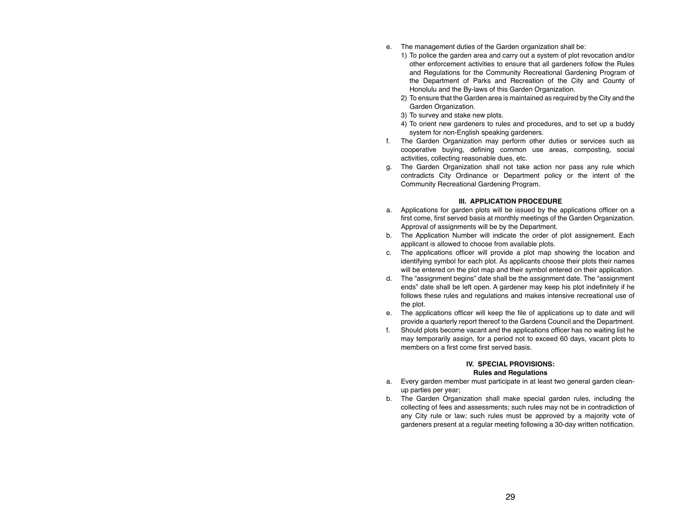- e. The management duties of the Garden organization shall be:
	- 1) To police the garden area and carry out a system of plot revocation and/or other enforcement activities to ensure that all gardeners follow the Rules and Regulations for the Community Recreational Gardening Program of the Department of Parks and Recreation of the City and County of Honolulu and the By-laws of this Garden Organization.
	- 2) To ensure that the Garden area is maintained as required by the City and the Garden Organization.
	- 3) To survey and stake new plots.
	- 4) To orient new gardeners to rules and procedures, and to set up a buddy system for non-English speaking gardeners.
- f. The Garden Organization may perform other duties or services such as cooperative buying, defining common use areas, composting, social activities, collecting reasonable dues, etc.
- g. The Garden Organization shall not take action nor pass any rule which contradicts City Ordinance or Department policy or the intent of the Community Recreational Gardening Program.

### **III. APPLICATION PROCEDURE**

- a. Applications for garden plots will be issued by the applications officer on a first come, first served basis at monthly meetings of the Garden Organization. Approval of assignments will be by the Department.
- b. The Application Number will indicate the order of plot assignement. Each applicant is allowed to choose from available plots.
- c. The applications officer will provide a plot map showing the location and identifying symbol for each plot. As applicants choose their plots their names will be entered on the plot map and their symbol entered on their application.
- d. The "assignment begins" date shall be the assignment date. The "assignment ends" date shall be left open. A gardener may keep his plot indefinitely if he follows these rules and regulations and makes intensive recreational use of the plot.
- e. The applications officer will keep the file of applications up to date and will provide a quarterly report thereof to the Gardens Council and the Department.
- f. Should plots become vacant and the applications officer has no waiting list he may temporarily assign, for a period not to exceed 60 days, vacant plots to members on a first come first served basis.

### **IV. SPECIAL PROVISIONS: Rules and Regulations**

- a. Every garden member must participate in at least two general garden cleanup parties per year;
- b. The Garden Organization shall make special garden rules, including the collecting of fees and assessments; such rules may not be in contradiction of any City rule or law; such rules must be approved by a majority vote of gardeners present at a regular meeting following a 30-day written notification.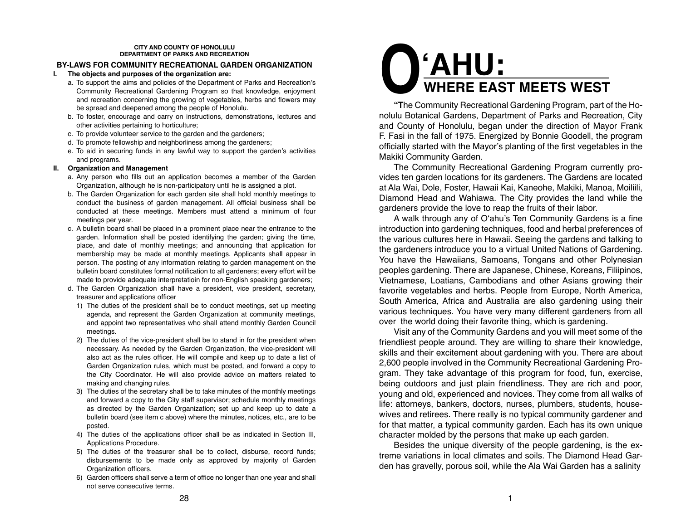### **CITY AND COUNTY OF HONOLULU DEPARTMENT OF PARKS AND RECREATION**

### **BY-LAWS FOR COMMUNITY RECREATIONAL GARDEN ORGANIZATION**

### **I. The objects and purposes of the organization are:**

- a. To support the aims and policies of the Department of Parks and Recreation's Community Recreational Gardening Program so that knowledge, enjoyment and recreation concerning the growing of vegetables, herbs and flowers may be spread and deepened among the people of Honolulu.
- b. To foster, encourage and carry on instructions, demonstrations, lectures and other activities pertaining to horticulture;
- c. To provide volunteer service to the garden and the gardeners;
- d. To promote fellowship and neighborliness among the gardeners;
- e. To aid in securing funds in any lawful way to support the garden's activities and programs.

### **II. Organization and Management**

- a. Any person who fills out an application becomes a member of the Garden Organization, although he is non-participatory until he is assigned a plot.
- b. The Garden Organization for each garden site shall hold monthly meetings to conduct the business of garden management. All official business shall be conducted at these meetings. Members must attend a minimum of four meetings per year.
- c. A bulletin board shall be placed in a prominent place near the entrance to the garden. Information shall be posted identifying the garden; giving the time, place, and date of monthly meetings; and announcing that application for membership may be made at monthly meetings. Applicants shall appear in person. The posting of any information relating to garden management on the bulletin board constitutes formal notification to all gardeners; every effort will be made to provide adequate interpretatioin for non-English speaking gardeners;
- d. The Garden Organization shall have a president, vice president, secretary, treasurer and applications officer
	- 1) The duties of the president shall be to conduct meetings, set up meeting agenda, and represent the Garden Organization at community meetings, and appoint two representatives who shall attend monthly Garden Council meetings.
	- 2) The duties of the vice-president shall be to stand in for the president when necessary. As needed by the Garden Organization, the vice-president will also act as the rules officer. He will compile and keep up to date a list of Garden Organization rules, which must be posted, and forward a copy to the City Coordinator. He will also provide advice on matters related to making and changing rules.
	- 3) The duties of the secretary shall be to take minutes of the monthly meetings and forward a copy to the City staff supervisor; schedule monthly meetings as directed by the Garden Organization; set up and keep up to date a bulletin board (see item c above) where the minutes, notices, etc., are to be posted.
	- 4) The duties of the applications officer shall be as indicated in Section III, Applications Procedure.
	- 5) The duties of the treasurer shall be to collect, disburse, record funds; disbursements to be made only as approved by majority of Garden Organization officers.
	- 6) Garden officers shall serve a term of office no longer than one year and shall not serve consecutive terms.

# **O'AHU: WHERE EAST MEETS WEST**

**"T**he Community Recreational Gardening Program, part of the Honolulu Botanical Gardens, Department of Parks and Recreation, City and County of Honolulu, began under the direction of Mayor Frank F. Fasi in the fall of 1975. Energized by Bonnie Goodell, the program officially started with the Mayor's planting of the first vegetables in the Makiki Community Garden.

The Community Recreational Gardening Program currently provides ten garden locations for its gardeners. The Gardens are located at Ala Wai, Dole, Foster, Hawaii Kai, Kaneohe, Makiki, Manoa, Moiliili, Diamond Head and Wahiawa. The City provides the land while the gardeners provide the love to reap the fruits of their labor.

A walk through any of O'ahu's Ten Community Gardens is a fine introduction into gardening techniques, food and herbal preferences of the various cultures here in Hawaii. Seeing the gardens and talking to the gardeners introduce you to a virtual United Nations of Gardening. You have the Hawaiians, Samoans, Tongans and other Polynesian peoples gardening. There are Japanese, Chinese, Koreans, Filiipinos, Vietnamese, Loatians, Cambodians and other Asians growing their favorite vegetables and herbs. People from Europe, North America, South America, Africa and Australia are also gardening using their various techniques. You have very many different gardeners from all over the world doing their favorite thing, which is gardening.

Visit any of the Community Gardens and you will meet some of the friendliest people around. They are willing to share their knowledge, skills and their excitement about gardening with you. There are about 2,600 people involved in the Community Recreational Gardening Program. They take advantage of this program for food, fun, exercise, being outdoors and just plain friendliness. They are rich and poor, young and old, experienced and novices. They come from all walks of life: attorneys, bankers, doctors, nurses, plumbers, students, housewives and retirees. There really is no typical community gardener and for that matter, a typical community garden. Each has its own unique character molded by the persons that make up each garden.

Besides the unique diversity of the people gardening, is the extreme variations in local climates and soils. The Diamond Head Garden has gravelly, porous soil, while the Ala Wai Garden has a salinity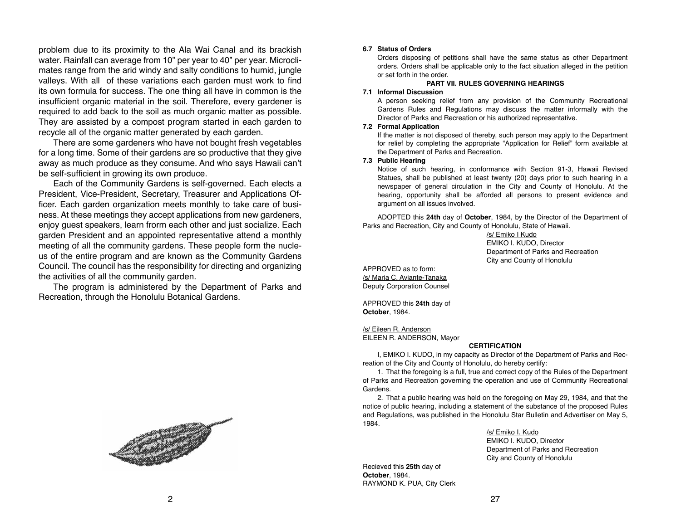problem due to its proximity to the Ala Wai Canal and its brackish water. Rainfall can average from 10" per year to 40" per year. Microclimates range from the arid windy and salty conditions to humid, jungle valleys. With all of these variations each garden must work to find its own formula for success. The one thing all have in common is the insufficient organic material in the soil. Therefore, every gardener is required to add back to the soil as much organic matter as possible. They are assisted by a compost program started in each garden to recycle all of the organic matter generated by each garden.

There are some gardeners who have not bought fresh vegetables for a long time. Some of their gardens are so productive that they give away as much produce as they consume. And who says Hawaii can't be self-sufficient in growing its own produce.

Each of the Community Gardens is self-governed. Each elects a President, Vice-President, Secretary, Treasurer and Applications Officer. Each garden organization meets monthly to take care of business. At these meetings they accept applications from new gardeners, enjoy guest speakers, learn frorm each other and just socialize. Each garden President and an appointed representative attend a monthly meeting of all the community gardens. These people form the nucleus of the entire program and are known as the Community Gardens Council. The council has the responsibility for directing and organizing the activities of all the community garden.

The program is administered by the Department of Parks and Recreation, through the Honolulu Botanical Gardens.



### **6.7 Status of Orders**

Orders disposing of petitions shall have the same status as other Department orders. Orders shall be applicable only to the fact situation alleged in the petition or set forth in the order.

### **PART VII. RULES GOVERNING HEARINGS**

### **7.1 Informal Discussion**

A person seeking relief from any provision of the Community Recreational Gardens Rules and Regulations may discuss the matter informally with the Director of Parks and Recreation or his authorized representative.

### **7.2 Formal Application**

If the matter is not disposed of thereby, such person may apply to the Department for relief by completing the appropriate "Application for Relief" form available at the Department of Parks and Recreation.

### **7.3 Public Hearing**

Notice of such hearing, in conformance with Section 91-3, Hawaii Revised Statues, shall be published at least twenty (20) days prior to such hearing in a newspaper of general circulation in the City and County of Honolulu. At the hearing, opportunity shall be afforded all persons to present evidence and argument on all issues involved.

ADOPTED this **24th** day of **October**, 1984, by the Director of the Department of Parks and Recreation, City and County of Honolulu, State of Hawaii.

> /s/ Emiko I Kudo EMIKO I. KUDO, Director Department of Parks and Recreation City and County of Honolulu

APPROVED as to form: /s/ Maria C. Aviante-Tanaka Deputy Corporation Counsel

APPROVED this **24th** day of **October**, 1984.

/s/ Eileen R. Anderson

EILEEN R. ANDERSON, Mayor

### **CERTIFICATION**

I, EMIKO I. KUDO, in my capacity as Director of the Department of Parks and Recreation of the City and County of Honolulu, do hereby certify:

1. That the foregoing is a full, true and correct copy of the Rules of the Department of Parks and Recreation governing the operation and use of Community Recreational Gardens.

2. That a public hearing was held on the foregoing on May 29, 1984, and that the notice of public hearing, including a statement of the substance of the proposed Rules and Regulations, was published in the Honolulu Star Bulletin and Advertiser on May 5, 1984.

/s/ Emiko I. Kudo

 EMIKO I. KUDO, Director Department of Parks and Recreation City and County of Honolulu

Recieved this **25th** day of **October**, 1984. RAYMOND K. PUA, City Clerk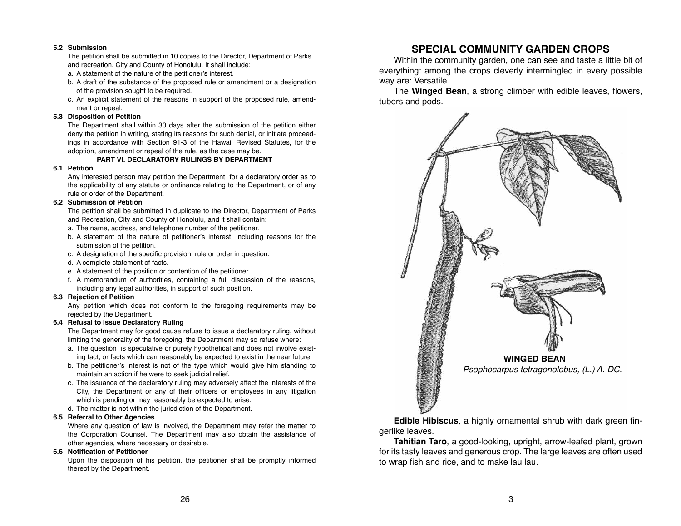### **5.2 Submission**

The petition shall be submitted in 10 copies to the Director, Department of Parks and recreation, City and County of Honolulu. It shall include:

- a. A statement of the nature of the petitioner's interest.
- b. A draft of the substance of the proposed rule or amendment or a designation of the provision sought to be required.
- c. An explicit statement of the reasons in support of the proposed rule, amend ment or repeal.

### **5.3 Disposition of Petition**

The Department shall within 30 days after the submission of the petition either deny the petition in writing, stating its reasons for such denial, or initiate proceedings in accordance with Section 91-3 of the Hawaii Revised Statutes, for the adoption, amendment or repeal of the rule, as the case may be.

### **PART VI. DECLARATORY RULINGS BY DEPARTMENT**

### **6.1 Petition**

Any interested person may petition the Department for a declaratory order as to the applicability of any statute or ordinance relating to the Department, or of any rule or order of the Department.

### **6.2 Submission of Petition**

The petition shall be submitted in duplicate to the Director, Department of Parks and Recreation, City and County of Honolulu, and it shall contain:

- a. The name, address, and telephone number of the petitioner.
- b. A statement of the nature of petitioner's interest, including reasons for the submission of the petition.
- c. A designation of the specific provision, rule or order in question.
- d. A complete statement of facts.
- e. A statement of the position or contention of the petitioner.
- f. A memorandum of authorities, containing a full discussion of the reasons, including any legal authorities, in support of such position.

### **6.3 Rejection of Petition**

Any petition which does not conform to the foregoing requirements may be rejected by the Department.

### **6.4 Refusal to Issue Declaratory Ruling**

The Department may for good cause refuse to issue a declaratory ruling, without limiting the generality of the foregoing, the Department may so refuse where:

- a. The question is speculative or purely hypothetical and does not involve exist ing fact, or facts which can reasonably be expected to exist in the near future.
- b. The petitioner's interest is not of the type which would give him standing to maintain an action if he were to seek judicial relief.
- c. The issuance of the declaratory ruling may adversely affect the interests of the City, the Department or any of their officers or employees in any litigation which is pending or may reasonably be expected to arise.
- d. The matter is not within the jurisdiction of the Department.

### **6.5 Referral to Other Agencies**

Where any question of law is involved, the Department may refer the matter to the Corporation Counsel. The Department may also obtain the assistance of other agencies, where necessary or desirable.

### **6.6 Notification of Petitioner**

Upon the disposition of his petition, the petitioner shall be promptly informed thereof by the Department.

# **SPECIAL COMMUNITY GARDEN CROPS**

Within the community garden, one can see and taste a little bit of everything: among the crops cleverly intermingled in every possible way are: Versatile.

The **Winged Bean**, a strong climber with edible leaves, flowers, tubers and pods.



**Edible Hibiscus**, a highly ornamental shrub with dark green fingerlike leaves.

**Tahitian Taro**, a good-looking, upright, arrow-leafed plant, grown for its tasty leaves and generous crop. The large leaves are often used to wrap fish and rice, and to make lau lau.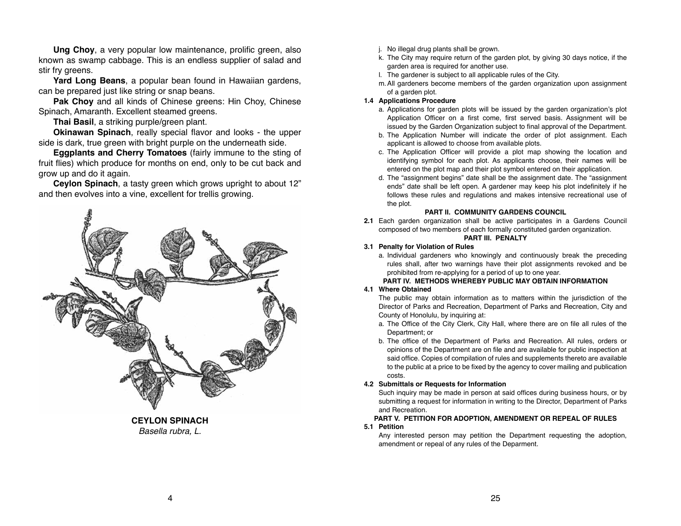**Ung Choy**, a very popular low maintenance, prolific green, also known as swamp cabbage. This is an endless supplier of salad and stir fry greens.

**Yard Long Beans**, a popular bean found in Hawaiian gardens, can be prepared just like string or snap beans.

**Pak Choy** and all kinds of Chinese greens: Hin Choy, Chinese Spinach, Amaranth. Excellent steamed greens.

**Thai Basil**, a striking purple/green plant.

**Okinawan Spinach**, really special flavor and looks - the upper side is dark, true green with bright purple on the underneath side.

**Eggplants and Cherry Tomatoes** (fairly immune to the sting of fruit flies) which produce for months on end, only to be cut back and grow up and do it again.

**Ceylon Spinach**, a tasty green which grows upright to about 12" and then evolves into a vine, excellent for trellis growing.



**CEYLON SPINACH** *Basella rubra, L.*

- j. No illegal drug plants shall be grown.
- k. The City may require return of the garden plot, by giving 30 days notice, if the garden area is required for another use.
- l. The gardener is subject to all applicable rules of the City.
- m.All gardeners become members of the garden organization upon assignment of a garden plot.

### **1.4 Applications Procedure**

- a. Applications for garden plots will be issued by the garden organization's plot Application Officer on a first come, first served basis. Assignment will be issued by the Garden Organization subject to final approval of the Department.
- b. The Application Number will indicate the order of plot assignment. Each applicant is allowed to choose from available plots.
- c. The Application Officer will provide a plot map showing the location and identifying symbol for each plot. As applicants choose, their names will be entered on the plot map and their plot symbol entered on their application.
- d. The "assignment begins" date shall be the assignment date. The "assignment ends" date shall be left open. A gardener may keep his plot indefinitely if he follows these rules and regulations and makes intensive recreational use of the plot.

### **PART II. COMMUNITY GARDENS COUNCIL**

**2.1** Each garden organization shall be active participates in a Gardens Council composed of two members of each formally constituted garden organization. **PART III. PENALTY**

# **3.1 Penalty for Violation of Rules**

a. Individual gardeners who knowingly and continuously break the preceding rules shall, after two warnings have their plot assignments revoked and be prohibited from re-applying for a period of up to one year.

### **PART IV. METHODS WHEREBY PUBLIC MAY OBTAIN INFORMATION**

### **4.1 Where Obtained**

The public may obtain information as to matters within the jurisdiction of the Director of Parks and Recreation, Department of Parks and Recreation, City and County of Honolulu, by inquiring at:

- a. The Office of the City Clerk, City Hall, where there are on file all rules of the Department; or
- b. The office of the Department of Parks and Recreation. All rules, orders or opinions of the Department are on file and are available for public inspection at said office. Copies of compilation of rules and supplements thereto are available to the public at a price to be fixed by the agency to cover mailing and publication costs.

### **4.2 Submittals or Requests for Information**

Such inquiry may be made in person at said offices during business hours, or by submitting a request for information in writing to the Director, Department of Parks and Recreation.

### **PART V. PETITION FOR ADOPTION, AMENDMENT OR REPEAL OF RULES**

### **5.1 Petition**

Any interested person may petition the Department requesting the adoption, amendment or repeal of any rules of the Deparment.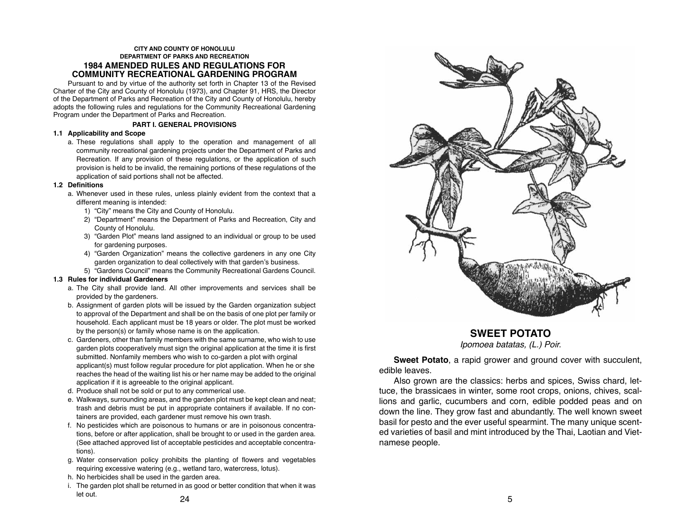### **CITY AND COUNTY OF HONOLULU DEPARTMENT OF PARKS AND RECREATION 1984 AMENDED RULES AND REGULATIONS FOR COMMUNITY RECREATIONAL GARDENING PROGRAM**

Pursuant to and by virtue of the authority set forth in Chapter 13 of the Revised Charter of the City and County of Honolulu (1973), and Chapter 91, HRS, the Director of the Department of Parks and Recreation of the City and County of Honolulu, hereby adopts the following rules and regulations for the Community Recreational Gardening Program under the Department of Parks and Recreation.

### **PART I. GENERAL PROVISIONS**

### **1.1 Applicability and Scope**

a. These regulations shall apply to the operation and management of all community recreational gardening projects under the Department of Parks and Recreation. If any provision of these regulations, or the application of such provision is held to be invalid, the remaining portions of these regulations of the application of said portions shall not be affected.

### **1.2 Definitions**

- a. Whenever used in these rules, unless plainly evident from the context that a different meaning is intended:
	- 1) "City" means the City and County of Honolulu.
	- 2) "Department" means the Department of Parks and Recreation, City and County of Honolulu.
	- 3) "Garden Plot" means land assigned to an individual or group to be used for gardening purposes.
	- 4) "Garden Organization" means the collective gardeners in any one City garden organization to deal collectively with that garden's business.
	- 5) "Gardens Council" means the Community Recreational Gardens Council.

### **1.3 Rules for individual Gardeners**

- a. The City shall provide land. All other improvements and services shall be provided by the gardeners.
- b. Assignment of garden plots will be issued by the Garden organization subject to approval of the Department and shall be on the basis of one plot per family or household. Each applicant must be 18 years or older. The plot must be worked by the person(s) or family whose name is on the application.
- c. Gardeners, other than family members with the same surname, who wish to use garden plots cooperatively must sign the original application at the time it is first submitted. Nonfamily members who wish to co-garden a plot with orginal applicant(s) must follow regular procedure for plot application. When he or she reaches the head of the waiting list his or her name may be added to the original application if it is agreeable to the original applicant.
- d. Produce shall not be sold or put to any commerical use.
- e. Walkways, surrounding areas, and the garden plot must be kept clean and neat; trash and debris must be put in appropriate containers if available. If no con tainers are provided, each gardener must remove his own trash.
- f. No pesticides which are poisonous to humans or are in poisonous concentra tions, before or after application, shall be brought to or used in the garden area. (See attached approved list of acceptable pesticides and acceptable concentra tions).
- g. Water conservation policy prohibits the planting of flowers and vegetables requiring excessive watering (e.g., wetland taro, watercress, lotus).
- h. No herbicides shall be used in the garden area.
- $24$  5 i. The garden plot shall be returned in as good or better condition that when it was let out.



**SWEET POTATO**

*Ipomoea batatas, (L.) Poir.*

**Sweet Potato**, a rapid grower and ground cover with succulent, edible leaves.

Also grown are the classics: herbs and spices, Swiss chard, lettuce, the brassicaes in winter, some root crops, onions, chives, scallions and garlic, cucumbers and corn, edible podded peas and on down the line. They grow fast and abundantly. The well known sweet basil for pesto and the ever useful spearmint. The many unique scented varieties of basil and mint introduced by the Thai, Laotian and Vietnamese people.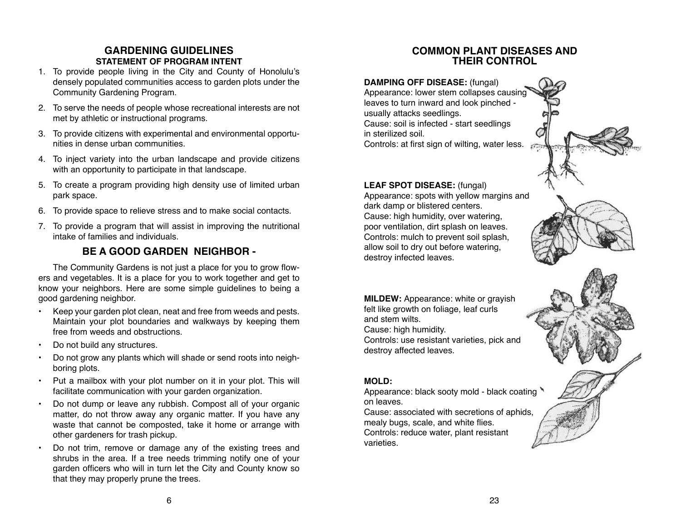# **GARDENING GUIDELINES STATEMENT OF PROGRAM INTENT**

- 1. To provide people living in the City and County of Honolulu's densely populated communities access to garden plots under the Community Gardening Program.
- 2. To serve the needs of people whose recreational interests are not met by athletic or instructional programs.
- 3. To provide citizens with experimental and environmental opportunities in dense urban communities.
- 4. To inject variety into the urban landscape and provide citizens with an opportunity to participate in that landscape.
- 5. To create a program providing high density use of limited urban park space.
- 6. To provide space to relieve stress and to make social contacts.
- 7. To provide a program that will assist in improving the nutritional intake of families and individuals.

# **BE A GOOD GARDEN NEIGHBOR -**

The Community Gardens is not just a place for you to grow flowers and vegetables. It is a place for you to work together and get to know your neighbors. Here are some simple guidelines to being a good gardening neighbor.

- Keep your garden plot clean, neat and free from weeds and pests. Maintain your plot boundaries and walkways by keeping them free from weeds and obstructions.
- Do not build any structures.
- Do not grow any plants which will shade or send roots into neighboring plots.
- Put a mailbox with your plot number on it in your plot. This will facilitate communication with your garden organization.
- Do not dump or leave any rubbish. Compost all of your organic matter, do not throw away any organic matter. If you have any waste that cannot be composted, take it home or arrange with other gardeners for trash pickup.
- Do not trim, remove or damage any of the existing trees and shrubs in the area. If a tree needs trimming notify one of your garden officers who will in turn let the City and County know so that they may properly prune the trees.

# **COMMON PLANT DISEASES AND THEIR CONTROL**

**DAMPING OFF DISEASE:** (fungal) Appearance: lower stem collapses causing leaves to turn inward and look pinched usually attacks seedlings. Cause: soil is infected - start seedlings in sterilized soil. Controls: at first sign of wilting, water less.

# **LEAF SPOT DISEASE:** (fungal)

Appearance: spots with yellow margins and dark damp or blistered centers. Cause: high humidity, over watering, poor ventilation, dirt splash on leaves. Controls: mulch to prevent soil splash, allow soil to dry out before watering, destroy infected leaves.

**MILDEW:** Appearance: white or grayish felt like growth on foliage, leaf curls and stem wilts. Cause: high humidity. Controls: use resistant varieties, pick and destroy affected leaves.

# **MOLD:**

Appearance: black sooty mold - black coating on leaves.

Cause: associated with secretions of aphids, mealy bugs, scale, and white flies. Controls: reduce water, plant resistant varieties.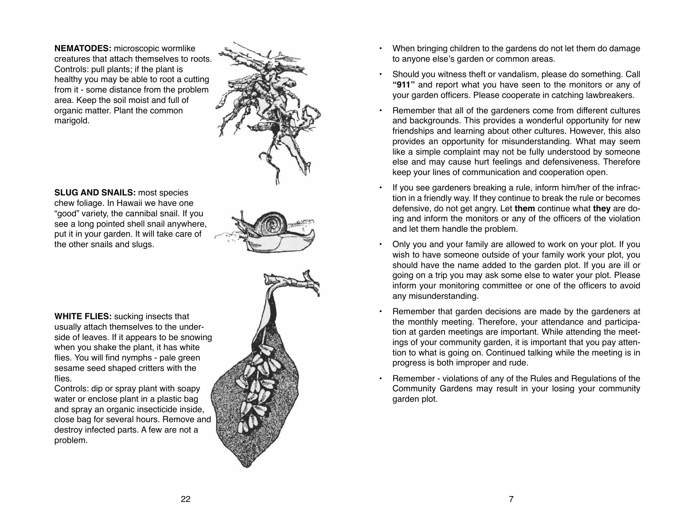**NEMATODES:** microscopic wormlike creatures that attach themselves to roots. Controls: pull plants; if the plant is healthy you may be able to root a cutting from it - some distance from the problem area. Keep the soil moist and full of organic matter. Plant the common marigold.



**SLUG AND SNAILS:** most species chew foliage. In Hawaii we have one "good" variety, the cannibal snail. If you see a long pointed shell snail anywhere, put it in your garden. It will take care of the other snails and slugs.



**WHITE FLIES:** sucking insects that usually attach themselves to the underside of leaves. If it appears to be snowing when you shake the plant, it has white flies. You will find nymphs - pale green sesame seed shaped critters with the flies.

Controls: dip or spray plant with soapy water or enclose plant in a plastic bag and spray an organic insecticide inside, close bag for several hours. Remove and destroy infected parts. A few are not a problem.



- When bringing children to the gardens do not let them do damage to anyone else's garden or common areas.
- Should you witness theft or vandalism, please do something. Call **"911"** and report what you have seen to the monitors or any of your garden officers. Please cooperate in catching lawbreakers.
- ••••••• Remember that all of the gardeners come from different cultures and backgrounds. This provides a wonderful opportunity for new friendships and learning about other cultures. However, this also provides an opportunity for misunderstanding. What may seem like a simple complaint may not be fully understood by someone else and may cause hurt feelings and defensiveness. Therefore keep your lines of communication and cooperation open.
- If you see gardeners breaking a rule, inform him/her of the infrac tion in a friendly way. If they continue to break the rule or becomes defensive, do not get angry. Let **them** continue what **they** are do ing and inform the monitors or any of the officers of the violation and let them handle the problem.
- Only you and your family are allowed to work on your plot. If you wish to have someone outside of your family work your plot, you should have the name added to the garden plot. If you are ill or going on a trip you may ask some else to water your plot. Please inform your monitoring committee or one of the officers to avoid any misunderstanding.
- Remember that garden decisions are made by the gardeners at the monthly meeting. Therefore, your attendance and participa tion at garden meetings are important. While attending the meet ings of your community garden, it is important that you pay atten tion to what is going on. Continued talking while the meeting is in progress is both improper and rude.
- Remember violations of any of the Rules and Regulations of the Community Gardens may result in your losing your community garden plot.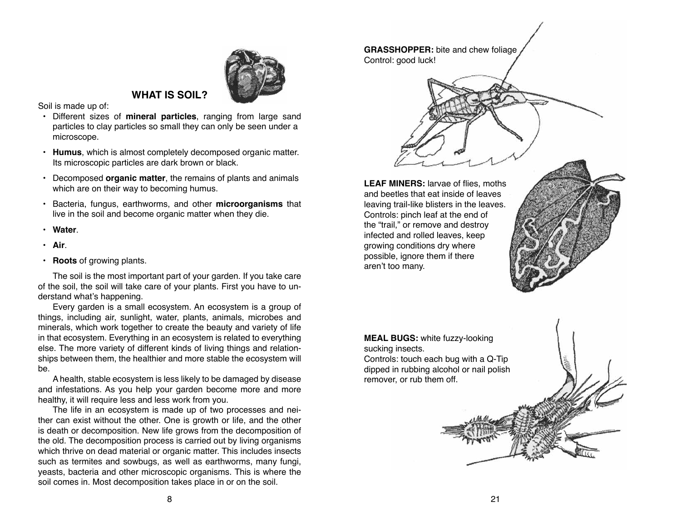# **WHAT IS SOIL?**

Soil is made up of:

- Different sizes of **mineral particles**, ranging from large sand particles to clay particles so small they can only be seen under a microscope.
- **Humus**, which is almost completely decomposed organic matter. Its microscopic particles are dark brown or black.
- Decomposed **organic matter**, the remains of plants and animals which are on their way to becoming humus.
- Bacteria, fungus, earthworms, and other **microorganisms** that live in the soil and become organic matter when they die.
- **Water**.
- **Air**.
- **Roots** of growing plants.

The soil is the most important part of your garden. If you take care of the soil, the soil will take care of your plants. First you have to understand what's happening.

Every garden is a small ecosystem. An ecosystem is a group of things, including air, sunlight, water, plants, animals, microbes and minerals, which work together to create the beauty and variety of life in that ecosystem. Everything in an ecosystem is related to everything else. The more variety of different kinds of living things and relationships between them, the healthier and more stable the ecosystem will be.

A health, stable ecosystem is less likely to be damaged by disease and infestations. As you help your garden become more and more healthy, it will require less and less work from you.

The life in an ecosystem is made up of two processes and neither can exist without the other. One is growth or life, and the other is death or decomposition. New life grows from the decomposition of the old. The decomposition process is carried out by living organisms which thrive on dead material or organic matter. This includes insects such as termites and sowbugs, as well as earthworms, many fungi, yeasts, bacteria and other microscopic organisms. This is where the soil comes in. Most decomposition takes place in or on the soil.

**LEAF MINERS:** larvae of flies, moths and beetles that eat inside of leaves leaving trail-like blisters in the leaves. Controls: pinch leaf at the end of the "trail," or remove and destroy infected and rolled leaves, keep growing conditions dry where possible, ignore them if there aren't too many.

**GRASSHOPPER:** bite and chew foliage

Control: good luck!

**MEAL BUGS:** white fuzzy-looking sucking insects. Controls: touch each bug with a Q-Tip dipped in rubbing alcohol or nail polish remover, or rub them off.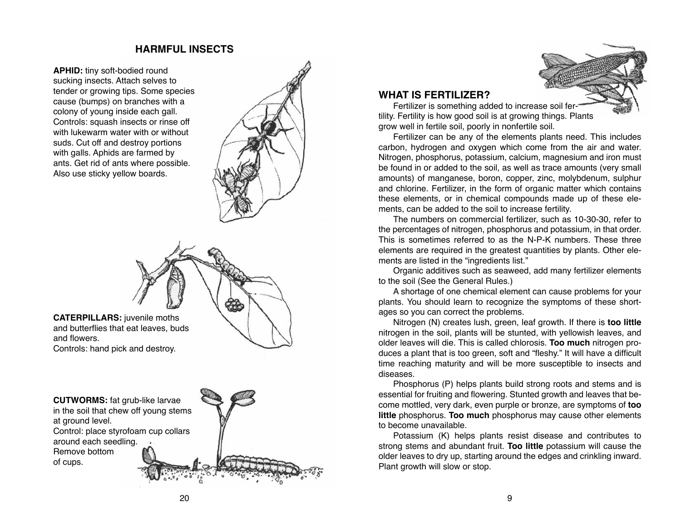# **HARMFUL INSECTS**

**APHID:** tiny soft-bodied round sucking insects. Attach selves to tender or growing tips. Some species cause (bumps) on branches with a colony of young inside each gall. Controls: squash insects or rinse off with lukewarm water with or without suds. Cut off and destroy portions with galls. Aphids are farmed by ants. Get rid of ants where possible. Also use sticky yellow boards.





**CATERPILLARS:** juvenile moths and butterflies that eat leaves, buds and flowers. Controls: hand pick and destroy.

**CUTWORMS:** fat grub-like larvae in the soil that chew off young stems at ground level. Control: place styrofoam cup collars around each seedling. Remove bottom of cups.



## **WHAT IS FERTILIZER?**

Fertilizer is something added to increase soil fertility. Fertility is how good soil is at growing things. Plants grow well in fertile soil, poorly in nonfertile soil.

Fertilizer can be any of the elements plants need. This includes carbon, hydrogen and oxygen which come from the air and water. Nitrogen, phosphorus, potassium, calcium, magnesium and iron must be found in or added to the soil, as well as trace amounts (very small amounts) of manganese, boron, copper, zinc, molybdenum, sulphur and chlorine. Fertilizer, in the form of organic matter which contains these elements, or in chemical compounds made up of these ele ments, can be added to the soil to increase fertility.

The numbers on commercial fertilizer, such as 10-30-30, refer to the percentages of nitrogen, phosphorus and potassium, in that order. This is sometimes referred to as the N-P-K numbers. These three elements are required in the greatest quantities by plants. Other ele ments are listed in the "ingredients list."

Organic additives such as seaweed, add many fertilizer elements to the soil (See the General Rules.)

A shortage of one chemical element can cause problems for your plants. You should learn to recognize the symptoms of these short ages so you can correct the problems.

Nitrogen (N) creates lush, green, leaf growth. If there is **too little**  nitrogen in the soil, plants will be stunted, with yellowish leaves, and older leaves will die. This is called chlorosis. **Too much** nitrogen pro duces a plant that is too green, soft and "fleshy." It will have a difficult time reaching maturity and will be more susceptible to insects and diseases.

Phosphorus (P) helps plants build strong roots and stems and is essential for fruiting and flowering. Stunted growth and leaves that be come mottled, very dark, even purple or bronze, are symptoms of **too little** phosphorus. **Too much** phosphorus may cause other elements to become unavailable.

Potassium (K) helps plants resist disease and contributes to strong stems and abundant fruit. **Too little** potassium will cause the older leaves to dry up, starting around the edges and crinkling inward. Plant growth will slow or stop.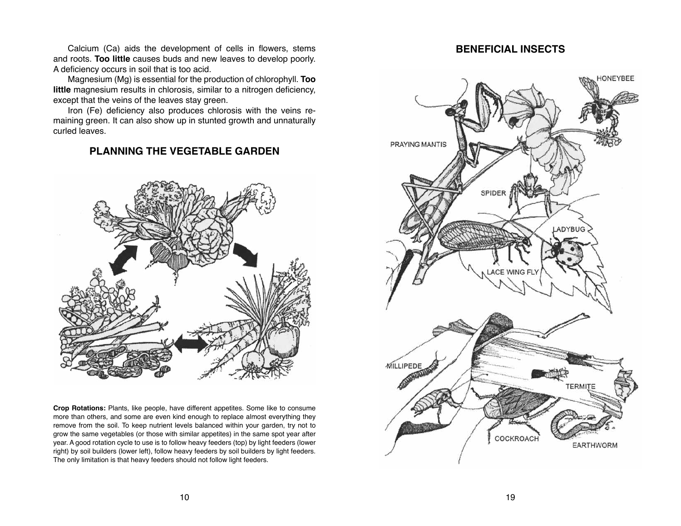Calcium (Ca) aids the development of cells in flowers, stems and roots. **Too little** causes buds and new leaves to develop poorly. A deficiency occurs in soil that is too acid.

Magnesium (Mg) is essential for the production of chlorophyll. **Too little** magnesium results in chlorosis, similar to a nitrogen deficiency, except that the veins of the leaves stay green.

Iron (Fe) deficiency also produces chlorosis with the veins remaining green. It can also show up in stunted growth and unnaturally curled leaves.

# **PLANNING THE VEGETABLE GARDEN**



**Crop Rotations:** Plants, like people, have different appetites. Some like to consume more than others, and some are even kind enough to replace almost everything they remove from the soil. To keep nutrient levels balanced within your garden, try not to grow the same vegetables (or those with similar appetites) in the same spot year after year. A good rotation cycle to use is to follow heavy feeders (top) by light feeders (lower right) by soil builders (lower left), follow heavy feeders by soil builders by light feeders. The only limitation is that heavy feeders should not follow light feeders.

# **BENEFICIAL INSECTS**

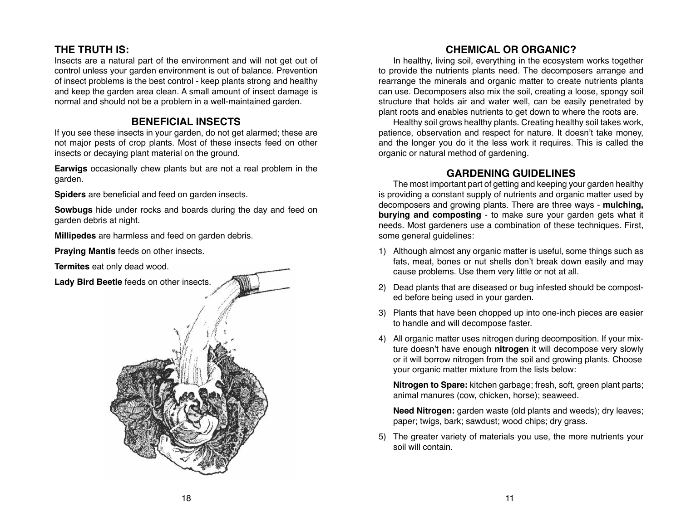# **THE TRUTH IS:**

Insects are a natural part of the environment and will not get out of control unless your garden environment is out of balance. Prevention of insect problems is the best control - keep plants strong and healthy and keep the garden area clean. A small amount of insect damage is normal and should not be a problem in a well-maintained garden.

# **BENEFICIAL INSECTS**

If you see these insects in your garden, do not get alarmed; these are not major pests of crop plants. Most of these insects feed on other insects or decaying plant material on the ground.

**Earwigs** occasionally chew plants but are not a real problem in the garden.

**Spiders** are beneficial and feed on garden insects.

**Sowbugs** hide under rocks and boards during the day and feed on garden debris at night.

**Millipedes** are harmless and feed on garden debris.

**Praying Mantis** feeds on other insects.

**Termites** eat only dead wood.





# **CHEMICAL OR ORGANIC?**

In healthy, living soil, everything in the ecosystem works together to provide the nutrients plants need. The decomposers arrange and rearrange the minerals and organic matter to create nutrients plants can use. Decomposers also mix the soil, creating a loose, spongy soil structure that holds air and water well, can be easily penetrated by plant roots and enables nutrients to get down to where the roots are.

Healthy soil grows healthy plants. Creating healthy soil takes work, patience, observation and respect for nature. It doesn't take money, and the longer you do it the less work it requires. This is called the organic or natural method of gardening.

# **GARDENING GUIDELINES**

The most important part of getting and keeping your garden healthy is providing a constant supply of nutrients and organic matter used by decomposers and growing plants. There are three ways - **mulching, burying and composting** - to make sure your garden gets what it needs. Most gardeners use a combination of these techniques. First, some general guidelines:

- 1) Although almost any organic matter is useful, some things such as fats, meat, bones or nut shells don't break down easily and may cause problems. Use them very little or not at all.
- 2) Dead plants that are diseased or bug infested should be composted before being used in your garden.
- 3) Plants that have been chopped up into one-inch pieces are easier to handle and will decompose faster.
- 4) All organic matter uses nitrogen during decomposition. If your mixture doesn't have enough **nitrogen** it will decompose very slowly or it will borrow nitrogen from the soil and growing plants. Choose your organic matter mixture from the lists below:

**Nitrogen to Spare:** kitchen garbage; fresh, soft, green plant parts; animal manures (cow, chicken, horse); seaweed.

**Need Nitrogen:** garden waste (old plants and weeds); dry leaves; paper; twigs, bark; sawdust; wood chips; dry grass.

5) The greater variety of materials you use, the more nutrients your soil will contain.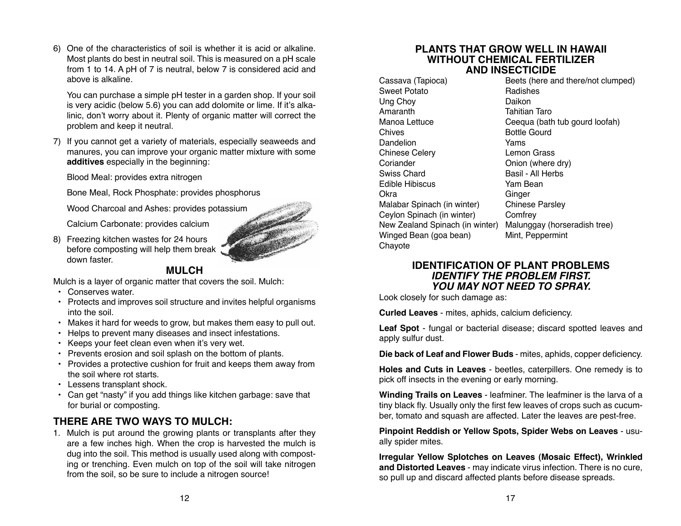6) One of the characteristics of soil is whether it is acid or alkaline. Most plants do best in neutral soil. This is measured on a pH scale from 1 to 14. A pH of 7 is neutral, below 7 is considered acid and above is alkaline.

You can purchase a simple pH tester in a garden shop. If your soil is very acidic (below 5.6) you can add dolomite or lime. If it's alkalinic, don't worry about it. Plenty of organic matter will correct the problem and keep it neutral.

7) If you cannot get a variety of materials, especially seaweeds and manures, you can improve your organic matter mixture with some **additives** especially in the beginning:

Blood Meal: provides extra nitrogen

Bone Meal, Rock Phosphate: provides phosphorus

Wood Charcoal and Ashes: provides potassium

Calcium Carbonate: provides calcium

8) Freezing kitchen wastes for 24 hours before composting will help them break down faster.



# **MULCH**

Mulch is a layer of organic matter that covers the soil. Mulch:

- Conserves water.
- Protects and improves soil structure and invites helpful organisms into the soil.
- Makes it hard for weeds to grow, but makes them easy to pull out.
- Helps to prevent many diseases and insect infestations.
- Keeps your feet clean even when it's very wet.
- Prevents erosion and soil splash on the bottom of plants.
- Provides a protective cushion for fruit and keeps them away from the soil where rot starts.
- Lessens transplant shock.
- Can get "nasty" if you add things like kitchen garbage: save that for burial or composting.

# **THERE ARE TWO WAYS TO MULCH:**

Mulch is put around the growing plants or transplants after they 1. are a few inches high. When the crop is harvested the mulch is dug into the soil. This method is usually used along with composting or trenching. Even mulch on top of the soil will take nitrogen from the soil, so be sure to include a nitrogen source!

# **PLANTS THAT GROW WELL IN HAWAII WITHOUT CHEMICAL FERTILIZER AND INSECTICIDE**

Sweet Potato **Radishes** Ung Choy **Daikon** Amaranth Tahitian Taro Chives **Bottle Gourd** Dandelion Yams Chinese Celery **Lemon Grass** Coriander **Onion** (where dry) Swiss Chard **Basil - All Herbs** Edible Hibiscus Yam Bean Okra Ginger Malabar Spinach (in winter) Chinese Parsley Ceylon Spinach (in winter) Comfrey Winged Bean (goa bean) Mint, Peppermint **Chavote** 

Cassava (Tapioca) Beets (here and there/not clumped) Manoa Lettuce Ceequa (bath tub gourd loofah) New Zealand Spinach (in winter) Malunggay (horseradish tree)

# **IDENTIFICATION OF PLANT PROBLEMS** *IDENTIFY THE PROBLEM FIRST. YOU MAY NOT NEED TO SPRAY.*

Look closely for such damage as:

**Curled Leaves** - mites, aphids, calcium deficiency.

**Leaf Spot** - fungal or bacterial disease; discard spotted leaves and apply sulfur dust.

**Die back of Leaf and Flower Buds** - mites, aphids, copper deficiency.

**Holes and Cuts in Leaves** - beetles, caterpillers. One remedy is to pick off insects in the evening or early morning.

**Winding Trails on Leaves** - leafminer. The leafminer is the larva of a tiny black fly. Usually only the first few leaves of crops such as cucumber, tomato and squash are affected. Later the leaves are pest-free.

**Pinpoint Reddish or Yellow Spots, Spider Webs on Leaves** - usually spider mites.

**Irregular Yellow Splotches on Leaves (Mosaic Effect), Wrinkled and Distorted Leaves** - may indicate virus infection. There is no cure, so pull up and discard affected plants before disease spreads.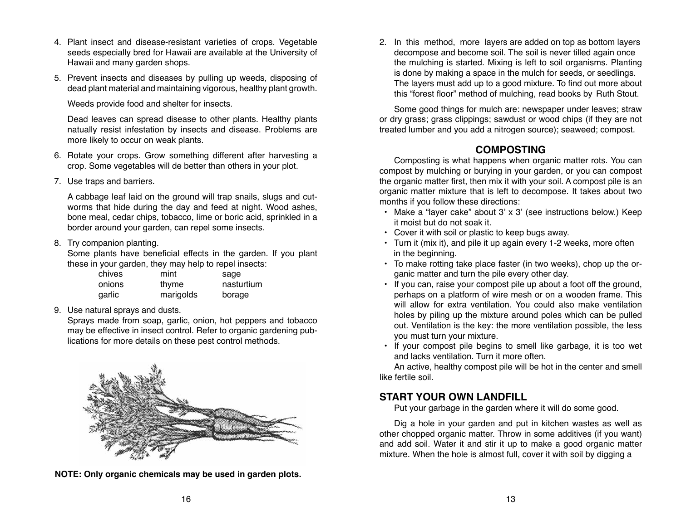- 4. Plant insect and disease-resistant varieties of crops. Vegetable seeds especially bred for Hawaii are available at the University of Hawaii and many garden shops.
- 5. Prevent insects and diseases by pulling up weeds, disposing of dead plant material and maintaining vigorous, healthy plant growth.

Weeds provide food and shelter for insects.

Dead leaves can spread disease to other plants. Healthy plants natually resist infestation by insects and disease. Problems are more likely to occur on weak plants.

- 6. Rotate your crops. Grow something different after harvesting a crop. Some vegetables will de better than others in your plot.
- 7. Use traps and barriers.

A cabbage leaf laid on the ground will trap snails, slugs and cutworms that hide during the day and feed at night. Wood ashes, bone meal, cedar chips, tobacco, lime or boric acid, sprinkled in a border around your garden, can repel some insects.

# 8. Try companion planting.

Some plants have beneficial effects in the garden. If you plant these in your garden, they may help to repel insects:

| chives | mint      | sage       |
|--------|-----------|------------|
| onions | thyme     | nasturtium |
| garlic | marigolds | borage     |

9. Use natural sprays and dusts.

Sprays made from soap, garlic, onion, hot peppers and tobacco may be effective in insect control. Refer to organic gardening publications for more details on these pest control methods.



**NOTE: Only organic chemicals may be used in garden plots.**

2. In this method, more layers are added on top as bottom layers decompose and become soil. The soil is never tilled again once the mulching is started. Mixing is left to soil organisms. Planting is done by making a space in the mulch for seeds, or seedlings. The layers must add up to a good mixture. To find out more about this "forest floor" method of mulching, read books by Ruth Stout.

Some good things for mulch are: newspaper under leaves; straw or dry grass; grass clippings; sawdust or wood chips (if they are not treated lumber and you add a nitrogen source); seaweed; compost.

# **COMPOSTING**

Composting is what happens when organic matter rots. You can compost by mulching or burying in your garden, or you can compost the organic matter first, then mix it with your soil. A compost pile is an organic matter mixture that is left to decompose. It takes about two months if you follow these directions:

- Make a "layer cake" about 3' x 3' (see instructions below.) Keep it moist but do not soak it.
- Cover it with soil or plastic to keep bugs away.
- Turn it (mix it), and pile it up again every 1-2 weeks, more often in the beginning.
- To make rotting take place faster (in two weeks), chop up the organic matter and turn the pile every other day.
- If you can, raise your compost pile up about a foot off the ground, perhaps on a platform of wire mesh or on a wooden frame. This will allow for extra ventilation. You could also make ventilation holes by piling up the mixture around poles which can be pulled out. Ventilation is the key: the more ventilation possible, the less you must turn your mixture.
- If your compost pile begins to smell like garbage, it is too wet and lacks ventilation. Turn it more often.

An active, healthy compost pile will be hot in the center and smell like fertile soil.

# **START YOUR OWN LANDFILL**

Put your garbage in the garden where it will do some good.

Dig a hole in your garden and put in kitchen wastes as well as other chopped organic matter. Throw in some additives (if you want) and add soil. Water it and stir it up to make a good organic matter mixture. When the hole is almost full, cover it with soil by digging a